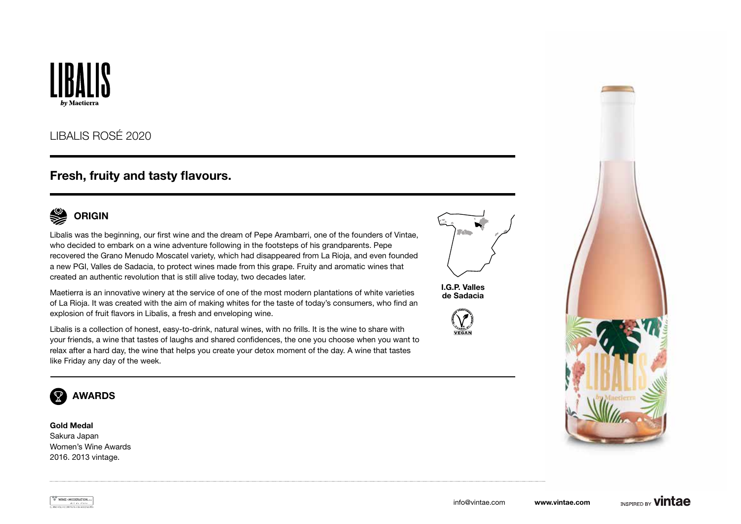

## LIBALIS ROSÉ 2020

## Fresh, fruity and tasty flavours.



Libalis was the beginning, our first wine and the dream of Pepe Arambarri, one of the founders of Vintae, who decided to embark on a wine adventure following in the footsteps of his grandparents. Pepe recovered the Grano Menudo Moscatel variety, which had disappeared from La Rioja, and even founded a new PGI, Valles de Sadacia, to protect wines made from this grape. Fruity and aromatic wines that created an authentic revolution that is still alive today, two decades later.

Maetierra is an innovative winery at the service of one of the most modern plantations of white varieties of La Rioja. It was created with the aim of making whites for the taste of today's consumers, who find an explosion of fruit flavors in Libalis, a fresh and enveloping wine.

Libalis is a collection of honest, easy-to-drink, natural wines, with no frills. It is the wine to share with your friends, a wine that tastes of laughs and shared confidences, the one you choose when you want to relax after a hard day, the wine that helps you create your detox moment of the day. A wine that tastes like Friday any day of the week.



I.G.P. Valles de Sadacia







Gold Medal Sakura Japan Women's Wine Awards 2016. 2013 vintage.

WINEINMODERATION.eu EL VING SOLO SE DISFRUTA CON MODERN